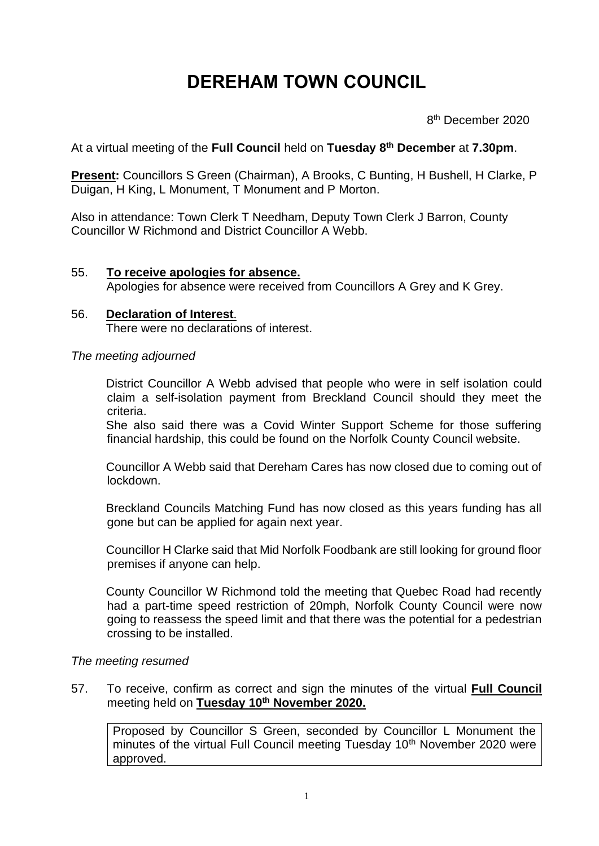# **DEREHAM TOWN COUNCIL**

en andere de la provincia de la provincia de la provincia de la provincia de la provincia de la provincia del 8<sup>th</sup> December 2020

At a virtual meeting of the **Full Council** held on **Tuesday 8 th December** at **7.30pm**.

**Present:** Councillors S Green (Chairman), A Brooks, C Bunting, H Bushell, H Clarke, P Duigan, H King, L Monument, T Monument and P Morton.

Also in attendance: Town Clerk T Needham, Deputy Town Clerk J Barron, County Councillor W Richmond and District Councillor A Webb.

## 55. **To receive apologies for absence.**

Apologies for absence were received from Councillors A Grey and K Grey.

#### 56. **Declaration of Interest**. There were no declarations of interest.

*The meeting adjourned*

District Councillor A Webb advised that people who were in self isolation could claim a self-isolation payment from Breckland Council should they meet the criteria.

She also said there was a Covid Winter Support Scheme for those suffering financial hardship, this could be found on the Norfolk County Council website.

Councillor A Webb said that Dereham Cares has now closed due to coming out of lockdown.

Breckland Councils Matching Fund has now closed as this years funding has all gone but can be applied for again next year.

Councillor H Clarke said that Mid Norfolk Foodbank are still looking for ground floor premises if anyone can help.

County Councillor W Richmond told the meeting that Quebec Road had recently had a part-time speed restriction of 20mph, Norfolk County Council were now going to reassess the speed limit and that there was the potential for a pedestrian crossing to be installed.

## *The meeting resumed*

57. To receive, confirm as correct and sign the minutes of the virtual **Full Council**  meeting held on **Tuesday 10th November 2020.**

Proposed by Councillor S Green, seconded by Councillor L Monument the minutes of the virtual Full Council meeting Tuesday 10<sup>th</sup> November 2020 were approved.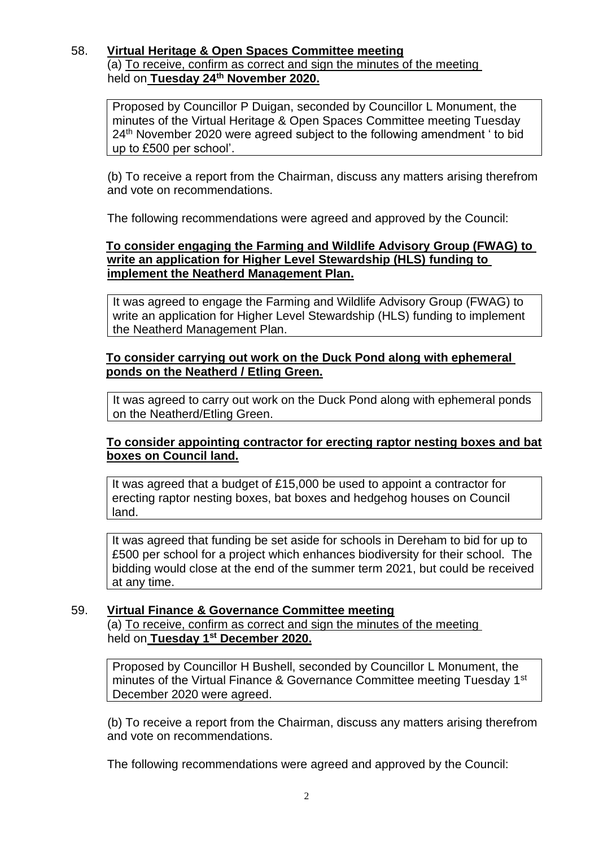#### 58. **Virtual Heritage & Open Spaces Committee meeting** (a) To receive, confirm as correct and sign the minutes of the meeting held on **Tuesday 24th November 2020.**

Proposed by Councillor P Duigan, seconded by Councillor L Monument, the minutes of the Virtual Heritage & Open Spaces Committee meeting Tuesday 24<sup>th</sup> November 2020 were agreed subject to the following amendment ' to bid up to £500 per school'.

(b) To receive a report from the Chairman, discuss any matters arising therefrom and vote on recommendations.

The following recommendations were agreed and approved by the Council:

## **To consider engaging the Farming and Wildlife Advisory Group (FWAG) to write an application for Higher Level Stewardship (HLS) funding to implement the Neatherd Management Plan.**

It was agreed to engage the Farming and Wildlife Advisory Group (FWAG) to write an application for Higher Level Stewardship (HLS) funding to implement the Neatherd Management Plan.

## **To consider carrying out work on the Duck Pond along with ephemeral ponds on the Neatherd / Etling Green.**

It was agreed to carry out work on the Duck Pond along with ephemeral ponds on the Neatherd/Etling Green.

## **To consider appointing contractor for erecting raptor nesting boxes and bat boxes on Council land.**

It was agreed that a budget of £15,000 be used to appoint a contractor for erecting raptor nesting boxes, bat boxes and hedgehog houses on Council land.

It was agreed that funding be set aside for schools in Dereham to bid for up to £500 per school for a project which enhances biodiversity for their school. The bidding would close at the end of the summer term 2021, but could be received at any time.

## 59. **Virtual Finance & Governance Committee meeting**

(a) To receive, confirm as correct and sign the minutes of the meeting held on **Tuesday 1st December 2020.**

Proposed by Councillor H Bushell, seconded by Councillor L Monument, the minutes of the Virtual Finance & Governance Committee meeting Tuesday 1st December 2020 were agreed.

(b) To receive a report from the Chairman, discuss any matters arising therefrom and vote on recommendations.

The following recommendations were agreed and approved by the Council: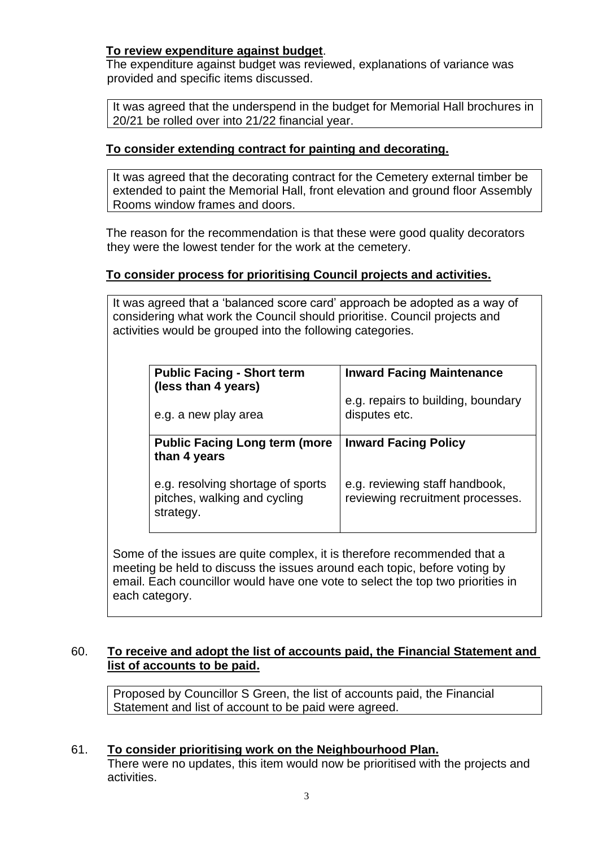## **To review expenditure against budget**.

The expenditure against budget was reviewed, explanations of variance was provided and specific items discussed.

It was agreed that the underspend in the budget for Memorial Hall brochures in 20/21 be rolled over into 21/22 financial year.

## **To consider extending contract for painting and decorating.**

It was agreed that the decorating contract for the Cemetery external timber be extended to paint the Memorial Hall, front elevation and ground floor Assembly Rooms window frames and doors.

The reason for the recommendation is that these were good quality decorators they were the lowest tender for the work at the cemetery.

## **To consider process for prioritising Council projects and activities.**

It was agreed that a 'balanced score card' approach be adopted as a way of considering what work the Council should prioritise. Council projects and activities would be grouped into the following categories.

| <b>Public Facing - Short term</b><br>(less than 4 years)                       | <b>Inward Facing Maintenance</b>                                   |
|--------------------------------------------------------------------------------|--------------------------------------------------------------------|
| e.g. a new play area                                                           | e.g. repairs to building, boundary<br>disputes etc.                |
| <b>Public Facing Long term (more</b><br>than 4 years                           | <b>Inward Facing Policy</b>                                        |
| e.g. resolving shortage of sports<br>pitches, walking and cycling<br>strategy. | e.g. reviewing staff handbook,<br>reviewing recruitment processes. |

Some of the issues are quite complex, it is therefore recommended that a meeting be held to discuss the issues around each topic, before voting by email. Each councillor would have one vote to select the top two priorities in each category.

## 60. **To receive and adopt the list of accounts paid, the Financial Statement and list of accounts to be paid.**

Proposed by Councillor S Green, the list of accounts paid, the Financial Statement and list of account to be paid were agreed.

## 61. **To consider prioritising work on the Neighbourhood Plan.**

There were no updates, this item would now be prioritised with the projects and activities.